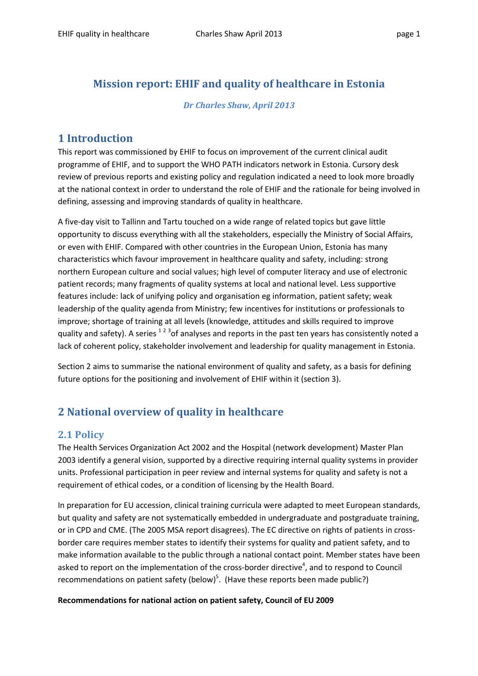# Mission report: EHIF and quality of healthcare in Estonia

#### Dr Charles Shaw, April 2013

## 1 Introduction

This report was commissioned by EHIF to focus on improvement of the current clinical audit programme of EHIF, and to support the WHO PATH indicators network in Estonia. Cursory desk review of previous reports and existing policy and regulation indicated a need to look more broadly at the national context in order to understand the role of EHIF and the rationale for being involved in defining, assessing and improving standards of quality in healthcare.

A five-day visit to Tallinn and Tartu touched on a wide range of related topics but gave little opportunity to discuss everything with all the stakeholders, especially the Ministry of Social Affairs, or even with EHIF. Compared with other countries in the European Union, Estonia has many characteristics which favour improvement in healthcare quality and safety, including: strong northern European culture and social values; high level of computer literacy and use of electronic patient records; many fragments of quality systems at local and national level. Less supportive features include: lack of unifying policy and organisation eg information, patient safety; weak leadership of the quality agenda from Ministry; few incentives for institutions or professionals to improve; shortage of training at all levels (knowledge, attitudes and skills required to improve quality and safety). A series  $^{12}$   $^{3}$ of analyses and reports in the past ten years has consistently noted a lack of coherent policy, stakeholder involvement and leadership for quality management in Estonia.

Section 2 aims to summarise the national environment of quality and safety, as a basis for defining future options for the positioning and involvement of EHIF within it (section 3).

# 2 National overview of quality in healthcare

# 2.1 Policy

The Health Services Organization Act 2002 and the Hospital (network development) Master Plan 2003 identify a general vision, supported by a directive requiring internal quality systems in provider units. Professional participation in peer review and internal systems for quality and safety is not a requirement of ethical codes, or a condition of licensing by the Health Board.

In preparation for EU accession, clinical training curricula were adapted to meet European standards, but quality and safety are not systematically embedded in undergraduate and postgraduate training, or in CPD and CME. (The 2005 MSA report disagrees). The EC directive on rights of patients in crossborder care requires member states to identify their systems for quality and patient safety, and to make information available to the public through a national contact point. Member states have been asked to report on the implementation of the cross-border directive<sup>4</sup>, and to respond to Council recommendations on patient safety (below)<sup>5</sup>. (Have these reports been made public?)

#### Recommendations for national action on patient safety, Council of EU 2009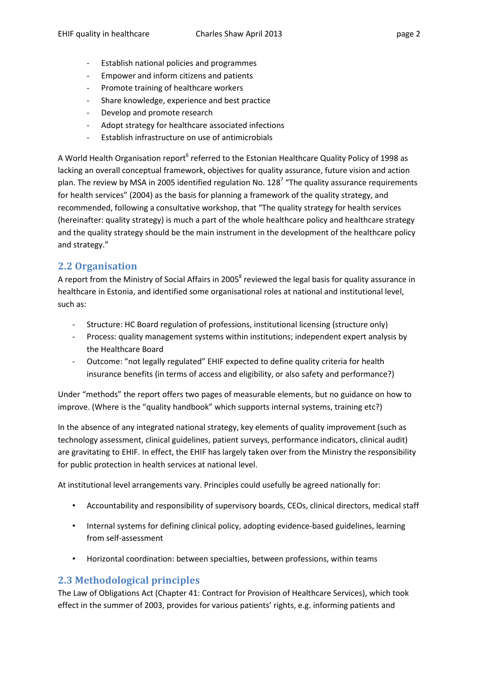- Establish national policies and programmes
- Empower and inform citizens and patients
- Promote training of healthcare workers
- Share knowledge, experience and best practice
- Develop and promote research
- Adopt strategy for healthcare associated infections
- Establish infrastructure on use of antimicrobials

A World Health Organisation report<sup>6</sup> referred to the Estonian Healthcare Quality Policy of 1998 as lacking an overall conceptual framework, objectives for quality assurance, future vision and action plan. The review by MSA in 2005 identified regulation No. 128<sup>7</sup> "The quality assurance requirements for health services" (2004) as the basis for planning a framework of the quality strategy, and recommended, following a consultative workshop, that "The quality strategy for health services (hereinafter: quality strategy) is much a part of the whole healthcare policy and healthcare strategy and the quality strategy should be the main instrument in the development of the healthcare policy and strategy."

# 2.2 Organisation

A report from the Ministry of Social Affairs in 2005<sup>8</sup> reviewed the legal basis for quality assurance in healthcare in Estonia, and identified some organisational roles at national and institutional level, such as:

- Structure: HC Board regulation of professions, institutional licensing (structure only)
- Process: quality management systems within institutions; independent expert analysis by the Healthcare Board
- Outcome: "not legally regulated" EHIF expected to define quality criteria for health insurance benefits (in terms of access and eligibility, or also safety and performance?)

Under "methods" the report offers two pages of measurable elements, but no guidance on how to improve. (Where is the "quality handbook" which supports internal systems, training etc?)

In the absence of any integrated national strategy, key elements of quality improvement (such as technology assessment, clinical guidelines, patient surveys, performance indicators, clinical audit) are gravitating to EHIF. In effect, the EHIF has largely taken over from the Ministry the responsibility for public protection in health services at national level.

At institutional level arrangements vary. Principles could usefully be agreed nationally for:

- Accountability and responsibility of supervisory boards, CEOs, clinical directors, medical staff
- Internal systems for defining clinical policy, adopting evidence-based guidelines, learning from self-assessment
- Horizontal coordination: between specialties, between professions, within teams

# 2.3 Methodological principles

The Law of Obligations Act (Chapter 41: Contract for Provision of Healthcare Services), which took effect in the summer of 2003, provides for various patients' rights, e.g. informing patients and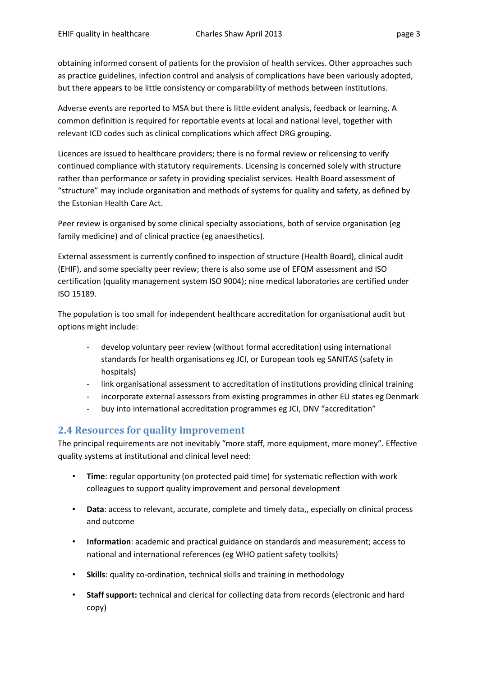obtaining informed consent of patients for the provision of health services. Other approaches such as practice guidelines, infection control and analysis of complications have been variously adopted, but there appears to be little consistency or comparability of methods between institutions.

Adverse events are reported to MSA but there is little evident analysis, feedback or learning. A common definition is required for reportable events at local and national level, together with relevant ICD codes such as clinical complications which affect DRG grouping.

Licences are issued to healthcare providers; there is no formal review or relicensing to verify continued compliance with statutory requirements. Licensing is concerned solely with structure rather than performance or safety in providing specialist services. Health Board assessment of "structure" may include organisation and methods of systems for quality and safety, as defined by the Estonian Health Care Act.

Peer review is organised by some clinical specialty associations, both of service organisation (eg family medicine) and of clinical practice (eg anaesthetics).

External assessment is currently confined to inspection of structure (Health Board), clinical audit (EHIF), and some specialty peer review; there is also some use of EFQM assessment and ISO certification (quality management system ISO 9004); nine medical laboratories are certified under ISO 15189.

The population is too small for independent healthcare accreditation for organisational audit but options might include:

- develop voluntary peer review (without formal accreditation) using international standards for health organisations eg JCI, or European tools eg SANITAS (safety in hospitals)
- link organisational assessment to accreditation of institutions providing clinical training
- incorporate external assessors from existing programmes in other EU states eg Denmark
- buy into international accreditation programmes eg JCI, DNV "accreditation"

### 2.4 Resources for quality improvement

The principal requirements are not inevitably "more staff, more equipment, more money". Effective quality systems at institutional and clinical level need:

- Time: regular opportunity (on protected paid time) for systematic reflection with work colleagues to support quality improvement and personal development
- Data: access to relevant, accurate, complete and timely data,, especially on clinical process and outcome
- Information: academic and practical guidance on standards and measurement; access to national and international references (eg WHO patient safety toolkits)
- Skills: quality co-ordination, technical skills and training in methodology
- Staff support: technical and clerical for collecting data from records (electronic and hard copy)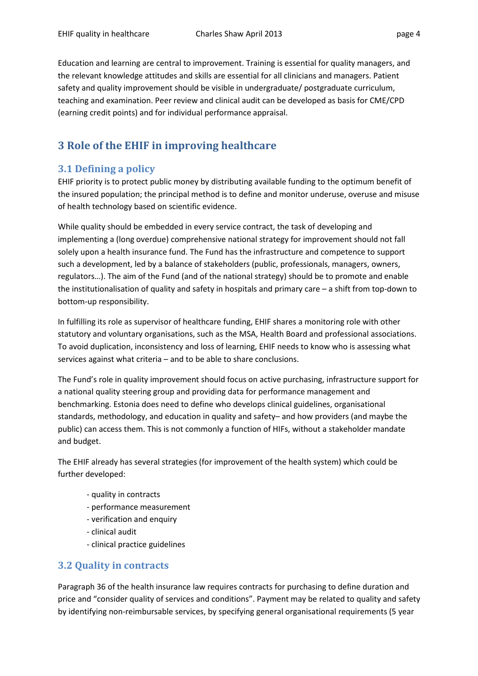Education and learning are central to improvement. Training is essential for quality managers, and the relevant knowledge attitudes and skills are essential for all clinicians and managers. Patient safety and quality improvement should be visible in undergraduate/ postgraduate curriculum, teaching and examination. Peer review and clinical audit can be developed as basis for CME/CPD (earning credit points) and for individual performance appraisal.

# 3 Role of the EHIF in improving healthcare

## 3.1 Defining a policy

EHIF priority is to protect public money by distributing available funding to the optimum benefit of the insured population; the principal method is to define and monitor underuse, overuse and misuse of health technology based on scientific evidence.

While quality should be embedded in every service contract, the task of developing and implementing a (long overdue) comprehensive national strategy for improvement should not fall solely upon a health insurance fund. The Fund has the infrastructure and competence to support such a development, led by a balance of stakeholders (public, professionals, managers, owners, regulators…). The aim of the Fund (and of the national strategy) should be to promote and enable the institutionalisation of quality and safety in hospitals and primary care – a shift from top-down to bottom-up responsibility.

In fulfilling its role as supervisor of healthcare funding, EHIF shares a monitoring role with other statutory and voluntary organisations, such as the MSA, Health Board and professional associations. To avoid duplication, inconsistency and loss of learning, EHIF needs to know who is assessing what services against what criteria – and to be able to share conclusions.

The Fund's role in quality improvement should focus on active purchasing, infrastructure support for a national quality steering group and providing data for performance management and benchmarking. Estonia does need to define who develops clinical guidelines, organisational standards, methodology, and education in quality and safety– and how providers (and maybe the public) can access them. This is not commonly a function of HIFs, without a stakeholder mandate and budget.

The EHIF already has several strategies (for improvement of the health system) which could be further developed:

- quality in contracts
- performance measurement
- verification and enquiry
- clinical audit
- clinical practice guidelines

### 3.2 Quality in contracts

Paragraph 36 of the health insurance law requires contracts for purchasing to define duration and price and "consider quality of services and conditions". Payment may be related to quality and safety by identifying non-reimbursable services, by specifying general organisational requirements (5 year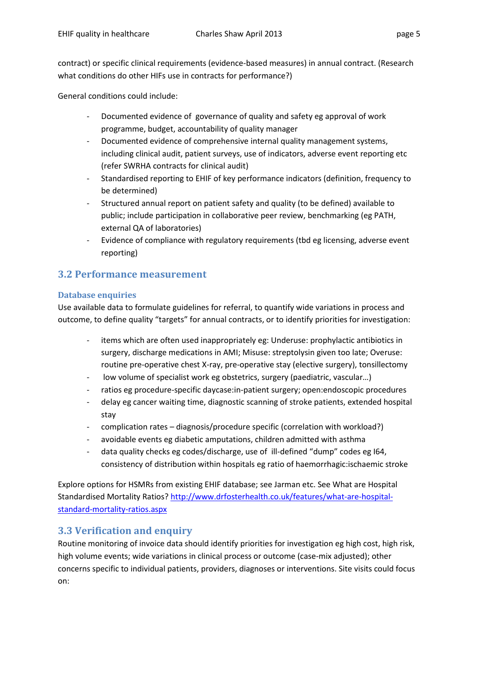contract) or specific clinical requirements (evidence-based measures) in annual contract. (Research what conditions do other HIFs use in contracts for performance?)

General conditions could include:

- Documented evidence of governance of quality and safety eg approval of work programme, budget, accountability of quality manager
- Documented evidence of comprehensive internal quality management systems, including clinical audit, patient surveys, use of indicators, adverse event reporting etc (refer SWRHA contracts for clinical audit)
- Standardised reporting to EHIF of key performance indicators (definition, frequency to be determined)
- Structured annual report on patient safety and quality (to be defined) available to public; include participation in collaborative peer review, benchmarking (eg PATH, external QA of laboratories)
- Evidence of compliance with regulatory requirements (tbd eg licensing, adverse event reporting)

### 3.2 Performance measurement

#### Database enquiries

Use available data to formulate guidelines for referral, to quantify wide variations in process and outcome, to define quality "targets" for annual contracts, or to identify priorities for investigation:

- items which are often used inappropriately eg: Underuse: prophylactic antibiotics in surgery, discharge medications in AMI; Misuse: streptolysin given too late; Overuse: routine pre-operative chest X-ray, pre-operative stay (elective surgery), tonsillectomy
- low volume of specialist work eg obstetrics, surgery (paediatric, vascular...)
- ratios eg procedure-specific daycase: in-patient surgery; open: endoscopic procedures
- delay eg cancer waiting time, diagnostic scanning of stroke patients, extended hospital stay
- complication rates diagnosis/procedure specific (correlation with workload?)
- avoidable events eg diabetic amputations, children admitted with asthma
- data quality checks eg codes/discharge, use of ill-defined "dump" codes eg I64, consistency of distribution within hospitals eg ratio of haemorrhagic:ischaemic stroke

Explore options for HSMRs from existing EHIF database; see Jarman etc. See What are Hospital Standardised Mortality Ratios? http://www.drfosterhealth.co.uk/features/what-are-hospitalstandard-mortality-ratios.aspx

### 3.3 Verification and enquiry

Routine monitoring of invoice data should identify priorities for investigation eg high cost, high risk, high volume events; wide variations in clinical process or outcome (case-mix adjusted); other concerns specific to individual patients, providers, diagnoses or interventions. Site visits could focus on: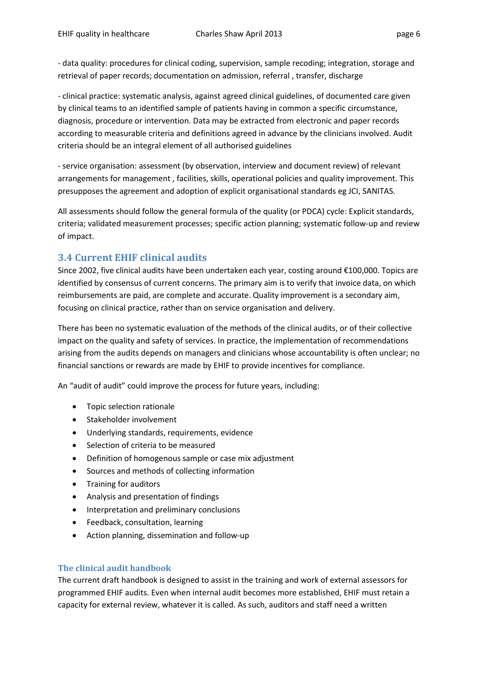- data quality: procedures for clinical coding, supervision, sample recoding; integration, storage and retrieval of paper records; documentation on admission, referral , transfer, discharge

- clinical practice: systematic analysis, against agreed clinical guidelines, of documented care given by clinical teams to an identified sample of patients having in common a specific circumstance, diagnosis, procedure or intervention. Data may be extracted from electronic and paper records according to measurable criteria and definitions agreed in advance by the clinicians involved. Audit criteria should be an integral element of all authorised guidelines

- service organisation: assessment (by observation, interview and document review) of relevant arrangements for management , facilities, skills, operational policies and quality improvement. This presupposes the agreement and adoption of explicit organisational standards eg JCI, SANITAS.

All assessments should follow the general formula of the quality (or PDCA) cycle: Explicit standards, criteria; validated measurement processes; specific action planning; systematic follow-up and review of impact.

#### 3.4 Current EHIF clinical audits

Since 2002, five clinical audits have been undertaken each year, costing around €100,000. Topics are identified by consensus of current concerns. The primary aim is to verify that invoice data, on which reimbursements are paid, are complete and accurate. Quality improvement is a secondary aim, focusing on clinical practice, rather than on service organisation and delivery.

There has been no systematic evaluation of the methods of the clinical audits, or of their collective impact on the quality and safety of services. In practice, the implementation of recommendations arising from the audits depends on managers and clinicians whose accountability is often unclear; no financial sanctions or rewards are made by EHIF to provide incentives for compliance.

An "audit of audit" could improve the process for future years, including:

- Topic selection rationale
- Stakeholder involvement
- Underlying standards, requirements, evidence
- Selection of criteria to be measured
- Definition of homogenous sample or case mix adjustment
- Sources and methods of collecting information
- Training for auditors
- Analysis and presentation of findings
- Interpretation and preliminary conclusions
- Feedback, consultation, learning
- Action planning, dissemination and follow-up

#### The clinical audit handbook

The current draft handbook is designed to assist in the training and work of external assessors for programmed EHIF audits. Even when internal audit becomes more established, EHIF must retain a capacity for external review, whatever it is called. As such, auditors and staff need a written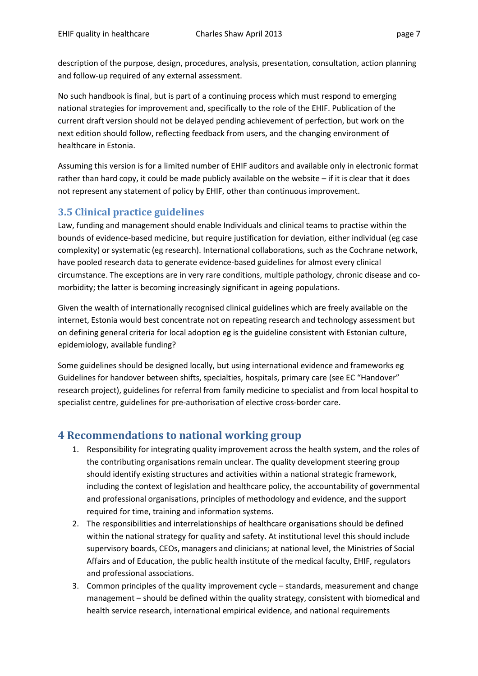description of the purpose, design, procedures, analysis, presentation, consultation, action planning and follow-up required of any external assessment.

No such handbook is final, but is part of a continuing process which must respond to emerging national strategies for improvement and, specifically to the role of the EHIF. Publication of the current draft version should not be delayed pending achievement of perfection, but work on the next edition should follow, reflecting feedback from users, and the changing environment of healthcare in Estonia.

Assuming this version is for a limited number of EHIF auditors and available only in electronic format rather than hard copy, it could be made publicly available on the website – if it is clear that it does not represent any statement of policy by EHIF, other than continuous improvement.

### 3.5 Clinical practice guidelines

Law, funding and management should enable Individuals and clinical teams to practise within the bounds of evidence-based medicine, but require justification for deviation, either individual (eg case complexity) or systematic (eg research). International collaborations, such as the Cochrane network, have pooled research data to generate evidence-based guidelines for almost every clinical circumstance. The exceptions are in very rare conditions, multiple pathology, chronic disease and comorbidity; the latter is becoming increasingly significant in ageing populations.

Given the wealth of internationally recognised clinical guidelines which are freely available on the internet, Estonia would best concentrate not on repeating research and technology assessment but on defining general criteria for local adoption eg is the guideline consistent with Estonian culture, epidemiology, available funding?

Some guidelines should be designed locally, but using international evidence and frameworks eg Guidelines for handover between shifts, specialties, hospitals, primary care (see EC "Handover" research project), guidelines for referral from family medicine to specialist and from local hospital to specialist centre, guidelines for pre-authorisation of elective cross-border care.

# 4 Recommendations to national working group

- 1. Responsibility for integrating quality improvement across the health system, and the roles of the contributing organisations remain unclear. The quality development steering group should identify existing structures and activities within a national strategic framework, including the context of legislation and healthcare policy, the accountability of governmental and professional organisations, principles of methodology and evidence, and the support required for time, training and information systems.
- 2. The responsibilities and interrelationships of healthcare organisations should be defined within the national strategy for quality and safety. At institutional level this should include supervisory boards, CEOs, managers and clinicians; at national level, the Ministries of Social Affairs and of Education, the public health institute of the medical faculty, EHIF, regulators and professional associations.
- 3. Common principles of the quality improvement cycle standards, measurement and change management – should be defined within the quality strategy, consistent with biomedical and health service research, international empirical evidence, and national requirements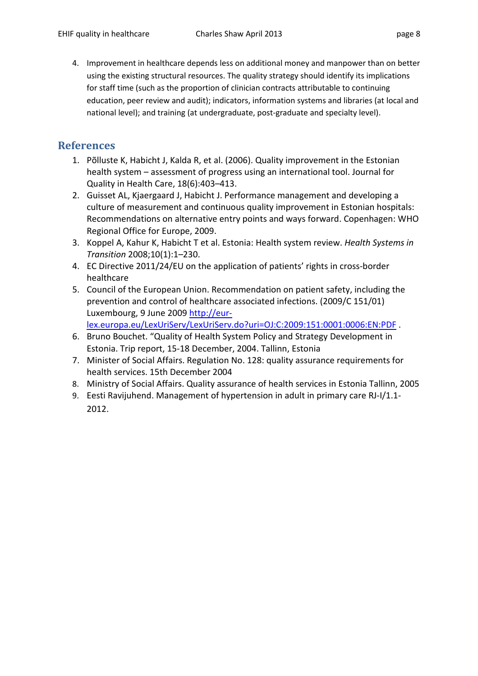4. Improvement in healthcare depends less on additional money and manpower than on better using the existing structural resources. The quality strategy should identify its implications for staff time (such as the proportion of clinician contracts attributable to continuing education, peer review and audit); indicators, information systems and libraries (at local and national level); and training (at undergraduate, post-graduate and specialty level).

# References

- 1. Põlluste K, Habicht J, Kalda R, et al. (2006). Quality improvement in the Estonian health system – assessment of progress using an international tool. Journal for Quality in Health Care, 18(6):403–413.
- 2. Guisset AL, Kjaergaard J, Habicht J. Performance management and developing a culture of measurement and continuous quality improvement in Estonian hospitals: Recommendations on alternative entry points and ways forward. Copenhagen: WHO Regional Office for Europe, 2009.
- 3. Koppel A, Kahur K, Habicht T et al. Estonia: Health system review. Health Systems in Transition 2008;10(1):1–230.
- 4. EC Directive 2011/24/EU on the application of patients' rights in cross-border healthcare
- 5. Council of the European Union. Recommendation on patient safety, including the prevention and control of healthcare associated infections. (2009/C 151/01) Luxembourg, 9 June 2009 http://eurlex.europa.eu/LexUriServ/LexUriServ.do?uri=OJ:C:2009:151:0001:0006:EN:PDF .
- 6. Bruno Bouchet. "Quality of Health System Policy and Strategy Development in Estonia. Trip report, 15-18 December, 2004. Tallinn, Estonia
- 7. Minister of Social Affairs. Regulation No. 128: quality assurance requirements for health services. 15th December 2004
- 8. Ministry of Social Affairs. Quality assurance of health services in Estonia Tallinn, 2005
- 9. Eesti Ravijuhend. Management of hypertension in adult in primary care RJ-I/1.1- 2012.